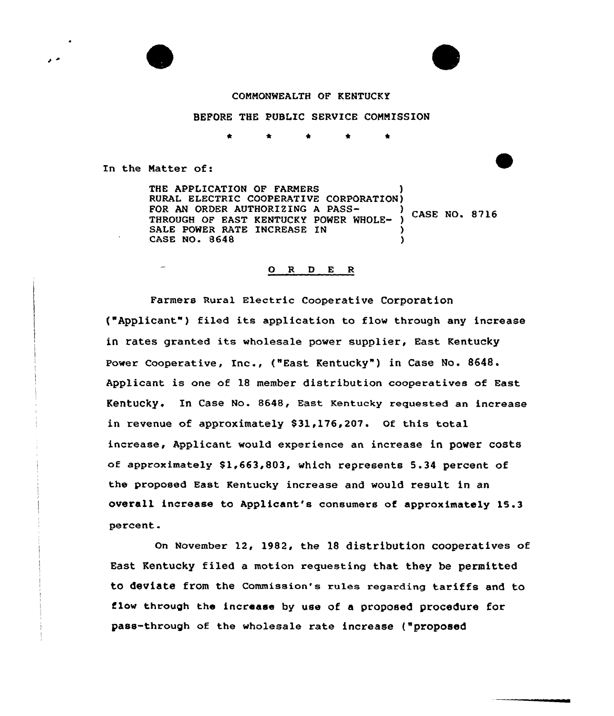#### COMMONWEALTH OF KENTUCKY

### BEFORE THE PUBLIC SERVICE COMMISSION

In the Matter of:

 $\overline{\phantom{a}}$ 

THE APPLICATION OF FARMERS RURAL ELECTRIC COOPERATIVE CORPORATION)<br>FOR AN ORDER AUTHORIZING A PASS-FOR AN ORDER AUTHORIZING A PASS-<br>THROUGH OF EAST KENTUCKY POWER WHOLE- ) CASE NO. 8716 SALE POWER RATE INCREASE IN CASE NO. 8648 )

# 0 R <sup>D</sup> E <sup>R</sup>

Farmers Rural Electric Cooperative Corporation ("Applicant") filed its application to flow through any increase in rates granted its wholesale power supplier, East Kentucky Power Cooperative, Inc., ("East Kentucky") in Case No. 8648. Applicant is one of 18 member distribution cooperatives of East Kentucky. In case No. 8648, East Kentucky requested an increase in revenue of approximately \$31,176,207. Of this total increase, Applicant would experience an increase in power costs of approximately \$1,663,803, which represents 5.34 percent of the proposed East Kentucky increase and would result in an overall increase to Applicant's consumers of approximately 15.3 percent.

on November 12, 1982, the 18 distribution cooperatives of East Kentucky filed a motion requesting that they be permitted to deviate from the Commission's rules regarding tariffs and to flow through the increase by use of a proposed procedure for pass-through of the wholesale rate increase ("proposed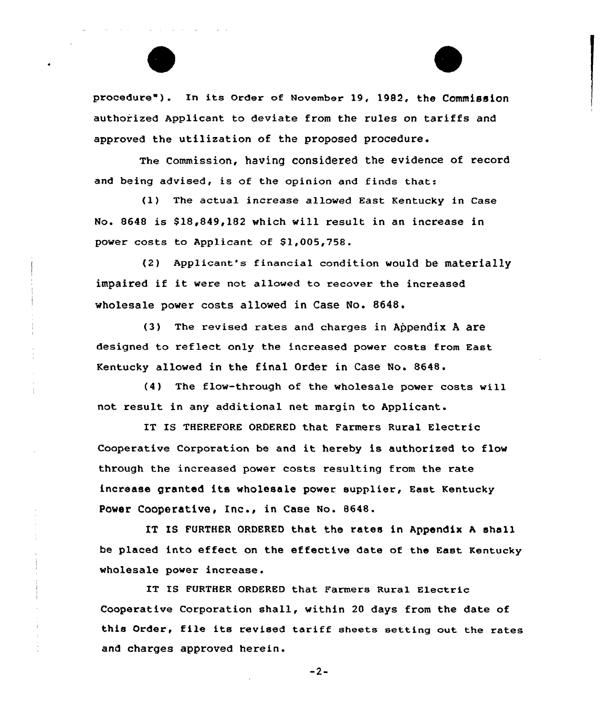يوانون التواريد والمرابط المناطر

procedure"). In its Order of November 19, 1982, the Commission authorized Applicant to deviate from the rules on tariffs and approved the utilization of the proposed procedure.

The Commission, having considered the evidence of record and being advised, is of the opinion and finds that:

(1) The actual increase allowed East Kentucky in Case No. 8648 is \$18,849,182 which will result in an increase in power costs to Applicant of \$1,005,758.

(2) Applicant's financial condition would be materially impaired if it vere not allowed to recover the increased wholesale power costs allowed in Case No. 8648.

 $(3)$ The revised rates and charges in Appendix A are designed to reflect only the increased power costs from East Kentucky allowed in the final Order in Case No. 8648.

(4) The flow-through of the wholesale power costs will not result in any additional net margin to Applicant.

IT IS THEREFORE ORDERED that Farmers Rural Electric Cooperative Corporation be and it hereby is authorized to flov through the increased power costs resulting from the rate increase granted its wholesale power supplier, East Kentucky Power Cooperative, Inc., in Case No. 8648.

IT IS FURTHER ORDERED that the rates in Appendix <sup>A</sup> shall be placed into effect on the effective date of the East Kentucky wholesale power increase.

IT IB FURTHER ORDERED that Farmers Rural Electric Cooperative Corporation shall, within 20 days from the date of this Order, file its revised tariff sheets setting out the rates and charges approved herein.

 $-2-$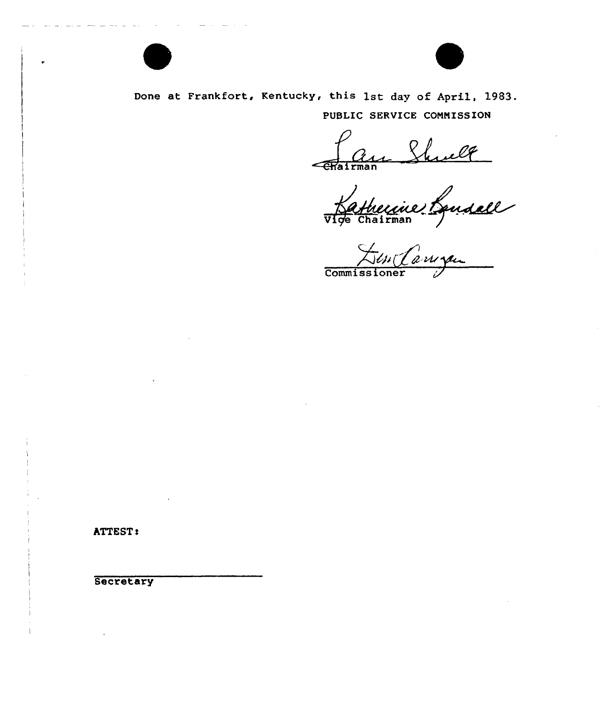

Done at Frankfort, Kentucky, this 1st day of April, 1983. PUBLIC SERVICE CONNISSION

Chairman

**Commissione** 

ATTEST:

Secretary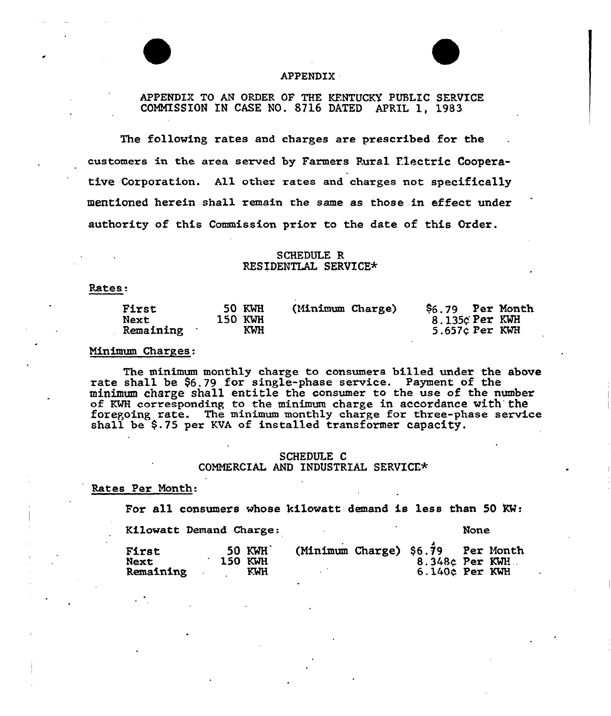# APPENDIK

# APPENDIX TO AN ORDER OF THE KENTUCKY PUBLIC SERVICE COMMISSION IN CASE NO. 8716 DATED APRIL 1, 1983

The following rates and charges are prescribed. for the customers in the area served by Farmers Rural Electric Cooperative Corporation. All other rates and charges not specifically mentioned herein sha11 remain the same as those in effect under authority of this Commission prior to the date of this Order.

# SCHEDULE R RESIDENTLAL SERVICE\*

#### Rates:

| <b>First</b> | <b>50 KWH</b> | (Minimum Charge) | $$6.79$ Per Month |  |
|--------------|---------------|------------------|-------------------|--|
| Next         | 150 KWH       |                  | 8.135c Per KWH    |  |
| Remaining    | <b>KWH</b>    |                  | 5.657¢ Per KWH    |  |

# Minimum Charges:

The minimum monthly charge to consumers billed under the above rate shall be \$6.79 for single-phase service. Payment of the minimum charge shall entitle the consumer to the use of the number of KWH corresponding to the minimum charge in accordance with the of num corresponding to the minimum enarge in accordance with the foregoing rate. The minimum monthly charge for three-phase service shall be \$ .75 per KVA of installed transformer capacity.

# SCHEDULE C COMMERCIAL AND INDUSTRIAL SERVICE\*

Rates Per Month:

For all consumers whose kilowatt demand is less than 50  $\text{KW}:$ 

Kilowatt Demand Charge: None

| First<br><b>Next</b> |  | <b>50 KWH</b><br>150 KWH | (Minimum Charge) $$6.\overline{7}9$ | $8.348c$ Per KWH. | Per Month |
|----------------------|--|--------------------------|-------------------------------------|-------------------|-----------|
| Remaining            |  | KWH                      |                                     | $6.140c$ Per KWH  |           |